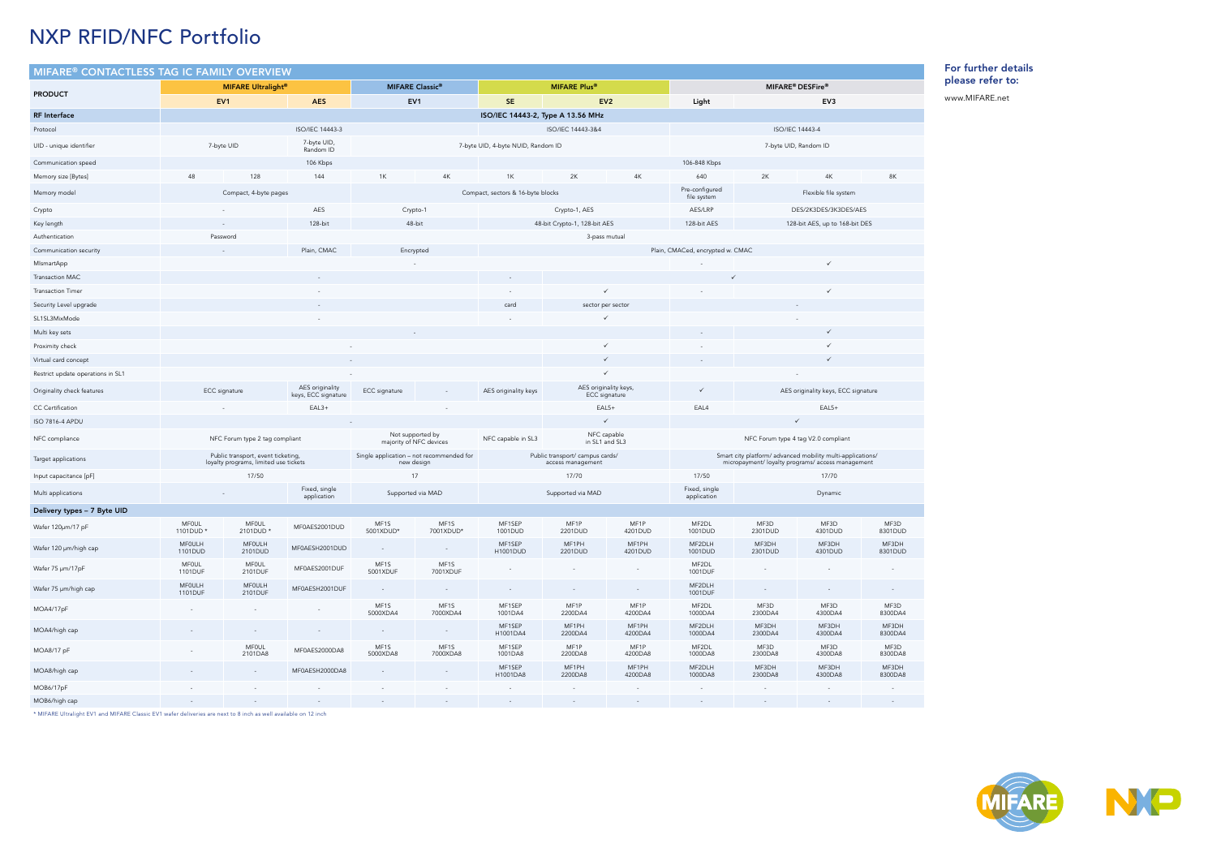| $\mathsf{MIFARE}^{\circledast}$ CONTACTLESS TAG IC FAMILY OVERVIEW |                                      |                                                                             |                                        |                                                        |                                             |                                                      |                                        |                                  |                                                                                                                 |                                     |                                     |                  |  |
|--------------------------------------------------------------------|--------------------------------------|-----------------------------------------------------------------------------|----------------------------------------|--------------------------------------------------------|---------------------------------------------|------------------------------------------------------|----------------------------------------|----------------------------------|-----------------------------------------------------------------------------------------------------------------|-------------------------------------|-------------------------------------|------------------|--|
|                                                                    | <b>MIFARE Ultralight<sup>®</sup></b> |                                                                             |                                        |                                                        | <b>MIFARE Classic®</b>                      |                                                      |                                        |                                  | MIFARE <sup>®</sup> DESFire <sup>®</sup>                                                                        |                                     |                                     |                  |  |
| <b>PRODUCT</b>                                                     | EV <sub>1</sub><br><b>AES</b>        |                                                                             | EV <sub>1</sub>                        |                                                        | <b>SE</b>                                   | EV <sub>2</sub>                                      |                                        | EV3<br>Light                     |                                                                                                                 |                                     |                                     |                  |  |
| <b>RF</b> Interface                                                |                                      |                                                                             |                                        |                                                        |                                             | ISO/IEC 14443-2, Type A 13.56 MHz                    |                                        |                                  |                                                                                                                 |                                     |                                     |                  |  |
| Protocol                                                           |                                      |                                                                             | ISO/IEC 14443-3                        |                                                        |                                             |                                                      | ISO/IEC 14443-3&4                      |                                  | <b>ISO/IEC 14443-4</b>                                                                                          |                                     |                                     |                  |  |
| UID - unique identifier                                            | 7-byte UID                           |                                                                             | 7-byte UID,<br>Random ID               |                                                        |                                             | 7-byte UID, 4-byte NUID, Random ID                   |                                        |                                  |                                                                                                                 |                                     | 7-byte UID, Random ID               |                  |  |
| Communication speed                                                |                                      |                                                                             | 106 Kbps                               |                                                        |                                             |                                                      |                                        |                                  | 106-848 Kbps                                                                                                    |                                     |                                     |                  |  |
| Memory size [Bytes]                                                | 48<br>128                            |                                                                             | 144                                    | 1K<br>4K                                               |                                             | 2K<br>4K<br>1K                                       |                                        | 640                              | 2K<br>4K                                                                                                        |                                     | 8K                                  |                  |  |
| Memory model                                                       |                                      | Compact, 4-byte pages                                                       |                                        |                                                        |                                             | Compact, sectors & 16-byte blocks                    |                                        |                                  | Pre-configured<br>file system                                                                                   | Flexible file system                |                                     |                  |  |
| Crypto                                                             |                                      |                                                                             | AES                                    | Crypto-1                                               |                                             |                                                      | Crypto-1, AES                          |                                  | AES/LRP                                                                                                         | DES/2K3DES/3K3DES/AES               |                                     |                  |  |
| Key length                                                         |                                      |                                                                             | 128-bit                                | 48-bit                                                 |                                             |                                                      | 48-bit Crypto-1, 128-bit AES           |                                  | 128-bit AES                                                                                                     |                                     | 128-bit AES, up to 168-bit DES      |                  |  |
| Authentication                                                     | Password                             |                                                                             |                                        |                                                        |                                             |                                                      | 3-pass mutual                          |                                  |                                                                                                                 |                                     |                                     |                  |  |
| Communication security                                             |                                      |                                                                             | Plain, CMAC                            | Encrypted                                              |                                             |                                                      |                                        | Plain, CMACed, encrypted w. CMAC |                                                                                                                 |                                     |                                     |                  |  |
| MismartApp                                                         |                                      |                                                                             |                                        |                                                        |                                             |                                                      |                                        |                                  |                                                                                                                 |                                     | ✓                                   |                  |  |
| Transaction MAC                                                    |                                      |                                                                             |                                        |                                                        |                                             |                                                      |                                        |                                  |                                                                                                                 |                                     |                                     |                  |  |
| <b>Transaction Timer</b>                                           |                                      |                                                                             |                                        |                                                        |                                             |                                                      | $\checkmark$                           |                                  |                                                                                                                 |                                     | ✓                                   |                  |  |
| Security Level upgrade                                             |                                      |                                                                             |                                        |                                                        |                                             | card                                                 | sector per sector                      |                                  |                                                                                                                 |                                     |                                     |                  |  |
| SL1SL3MixMode                                                      |                                      |                                                                             |                                        |                                                        |                                             |                                                      |                                        |                                  |                                                                                                                 |                                     |                                     |                  |  |
| Multi key sets                                                     |                                      |                                                                             |                                        |                                                        |                                             |                                                      |                                        |                                  |                                                                                                                 |                                     | ✓                                   |                  |  |
| Proximity check                                                    |                                      |                                                                             |                                        |                                                        |                                             |                                                      | $\checkmark$                           |                                  |                                                                                                                 |                                     |                                     |                  |  |
| Virtual card concept                                               |                                      |                                                                             |                                        |                                                        |                                             |                                                      | $\checkmark$<br>$\checkmark$           |                                  |                                                                                                                 |                                     | ✓                                   |                  |  |
| Restrict update operations in SL1                                  |                                      |                                                                             |                                        |                                                        |                                             |                                                      |                                        |                                  |                                                                                                                 |                                     |                                     |                  |  |
| Originality check features                                         | <b>ECC</b> signature                 |                                                                             | AES originality<br>keys, ECC signature | <b>ECC</b> signature                                   |                                             | AES originality keys                                 | AES originality keys,<br>ECC signature |                                  | $\checkmark$                                                                                                    | AES originality keys, ECC signature |                                     |                  |  |
| CC Certification                                                   |                                      |                                                                             | $EAL3+$                                | $EAL5+$                                                |                                             |                                                      |                                        |                                  | EAL4                                                                                                            | $EAL5+$<br>$\checkmark$             |                                     |                  |  |
| ISO 7816-4 APDU                                                    |                                      |                                                                             |                                        |                                                        | $\checkmark$                                |                                                      |                                        |                                  |                                                                                                                 |                                     |                                     |                  |  |
| NFC compliance                                                     |                                      | NFC Forum type 2 tag compliant                                              |                                        |                                                        | Not supported by<br>majority of NFC devices | NFC capable<br>NFC capable in SL3<br>in SL1 and SL3  |                                        |                                  |                                                                                                                 |                                     | NFC Forum type 4 tag V2.0 compliant |                  |  |
| Target applications                                                |                                      | Public transport, event ticketing,<br>loyalty programs, limited use tickets |                                        | Single application - not recommended for<br>new design |                                             | Public transport/ campus cards/<br>access management |                                        |                                  | Smart city platform/ advanced mobility multi-applications/<br>micropayment/ loyalty programs/ access management |                                     |                                     |                  |  |
| Input capacitance [pF]                                             |                                      | 17/50                                                                       |                                        | 17                                                     |                                             | 17/70                                                |                                        |                                  | 17/50                                                                                                           | 17/70                               |                                     |                  |  |
| Multi applications                                                 |                                      |                                                                             | Fixed, single<br>application           | Supported via MAD                                      |                                             | Supported via MAD                                    |                                        |                                  | Fixed, single<br>application                                                                                    |                                     | Dynamic                             |                  |  |
| Delivery types - 7 Byte UID                                        |                                      |                                                                             |                                        |                                                        |                                             |                                                      |                                        |                                  |                                                                                                                 |                                     |                                     |                  |  |
| Wafer 120µm/17 pF                                                  | <b>MFOUL</b><br>1101DUD *            | <b>MFOUL</b><br>2101DUD *                                                   | MF0AES2001DUD                          | MF1S<br>5001XDUD*                                      | MF1S<br>7001XDUD*                           | MF1SEP<br>1001DUD                                    | MF1P<br>2201DUD                        | MF1P<br>4201DUD                  | MF2DL<br>1001DUD                                                                                                | MF3D<br>2301DUD                     | MF3D<br>4301DUD                     | MF3D<br>8301DUD  |  |
| Wafer 120 µm/high cap                                              | MF0ULH<br>1101DUD                    | MF0ULH<br>2101DUD                                                           | MF0AESH2001DUD                         | $\sim$                                                 | $\sim$                                      | MF1SEP<br>H1001DUD                                   | MF1PH<br>2201DUD                       | MF1PH<br>4201DUD                 | MF2DLH<br>1001DUD                                                                                               | MF3DH<br>2301DUD                    | MF3DH<br>4301DUD                    | MF3DH<br>8301DUD |  |
| Wafer 75 µm/17pF                                                   | <b>MFOUL</b><br>1101DUF              | MFOUL<br>2101DUF                                                            | MF0AES2001DUF                          | MF1S<br>5001XDUF                                       | MF1S<br>7001XDUF                            |                                                      | $\overline{\phantom{a}}$               | $\rightarrow$                    | MF2DL<br>1001DUF                                                                                                | $\overline{\phantom{a}}$            | $\sim$                              |                  |  |
| Wafer 75 µm/high cap                                               | MF0ULH<br>1101DUF                    | MFOULH<br>2101DUF                                                           | MF0AESH2001DUF                         |                                                        |                                             |                                                      | $\overline{\phantom{a}}$               | ۰                                | MF2DLH<br>1001DUF                                                                                               |                                     | $\sim$                              |                  |  |
| MOA4/17pF                                                          | $\sim$                               | $\sim$                                                                      |                                        | MF1S<br>5000XDA4                                       | MF1S<br>7000XDA4                            | MF1SEP<br>1001DA4                                    | MF1P<br>2200DA4                        | MF1P<br>4200DA4                  | MF2DL<br>1000DA4                                                                                                | MF3D<br>2300DA4                     | MF3D<br>4300DA4                     | MF3D<br>8300DA4  |  |
| MOA4/high cap                                                      |                                      |                                                                             |                                        | $\overline{\phantom{a}}$                               | $\sim$                                      | MF1SEP<br>H1001DA4                                   | MF1PH<br>2200DA4                       | MF1PH<br>4200DA4                 | MF2DLH<br>1000DA4                                                                                               | MF3DH<br>2300DA4                    | MF3DH<br>4300DA4                    | MF3DH<br>8300DA4 |  |
| MOA8/17 pF                                                         |                                      | MFOUL<br>2101DA8                                                            | MF0AES2000DA8                          | MF1S<br>5000XDA8                                       | MF1S<br>7000XDA8                            | MF1SEP<br>1001DA8                                    | MF1P<br>2200DA8                        | MF1P<br>4200DA8                  | MF2DL<br>1000DA8                                                                                                | MF3D<br>2300DA8                     | MF3D<br>4300DA8                     | MF3D<br>8300DA8  |  |
| MOA8/high cap                                                      |                                      | $\sim$                                                                      | MF0AESH2000DA8                         | $\sim$                                                 | $\sim$                                      | MF1SEP<br>H1001DA8                                   | MF1PH<br>2200DA8                       | MF1PH<br>4200DA8                 | MF2DLH<br>1000DA8                                                                                               | MF3DH<br>2300DA8                    | MF3DH<br>4300DA8                    | MF3DH<br>8300DA8 |  |
| MOB6/17pF                                                          |                                      | $\overline{\phantom{a}}$                                                    |                                        | $\overline{\phantom{a}}$                               |                                             |                                                      | $\overline{\phantom{a}}$               |                                  |                                                                                                                 | $\overline{\phantom{a}}$            |                                     |                  |  |
| MOB6/high cap                                                      |                                      |                                                                             |                                        |                                                        |                                             | $\sim$                                               | $\overline{\phantom{a}}$               | $\overline{\phantom{a}}$         | $\sim$                                                                                                          | $\sim$                              | $\overline{\phantom{a}}$            | $\sim$           |  |

\* MIFARE Ultralight EV1 and MIFARE Classic EV1 wafer deliveries are next to 8 inch as well available on 12 inch

## For further details please refer to:

www.MIFARE.net





## NXP RFID/NFC Portfolio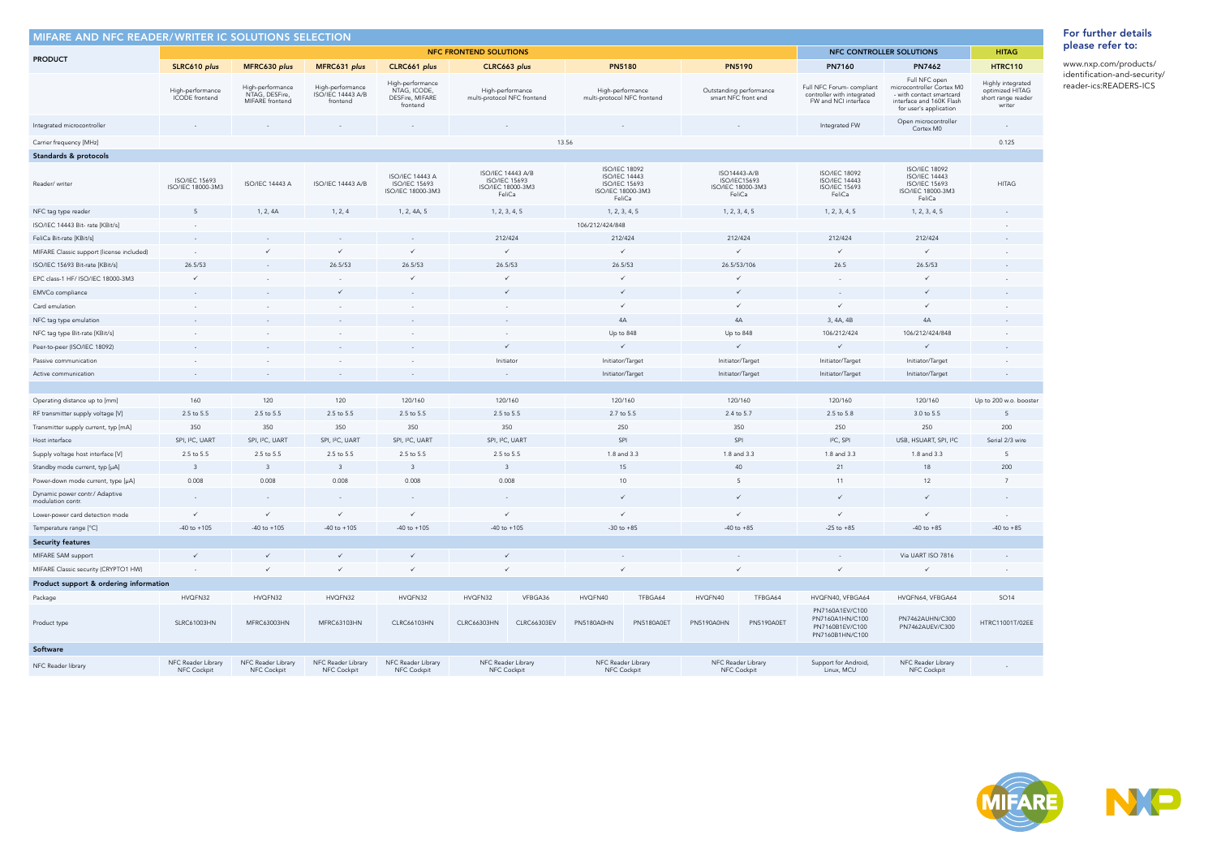| MIFARE AND NFC READER/WRITER IC SOLUTIONS SELECTION |                                           |                                                           |                                                          |                                                                     |                                       |                                                 |                             |                                                                                                     |                                   |                        |                                                                                |                                                                                                                              |                                                                      |
|-----------------------------------------------------|-------------------------------------------|-----------------------------------------------------------|----------------------------------------------------------|---------------------------------------------------------------------|---------------------------------------|-------------------------------------------------|-----------------------------|-----------------------------------------------------------------------------------------------------|-----------------------------------|------------------------|--------------------------------------------------------------------------------|------------------------------------------------------------------------------------------------------------------------------|----------------------------------------------------------------------|
|                                                     |                                           | NFC CONTROLLER SOLUTIONS<br><b>NFC FRONTEND SOLUTIONS</b> |                                                          |                                                                     |                                       |                                                 |                             |                                                                                                     |                                   |                        |                                                                                | <b>HITAG</b>                                                                                                                 |                                                                      |
| <b>PRODUCT</b>                                      | SLRC610 plus                              | MFRC630 plus                                              | MFRC631 plus                                             | CLRC661 plus                                                        |                                       | CLRC663 plus                                    |                             | <b>PN5180</b>                                                                                       | <b>PN5190</b>                     |                        | PN7160                                                                         | <b>PN7462</b>                                                                                                                | <b>HTRC110</b>                                                       |
|                                                     | High-performance<br>ICODE frontend        | High-performance<br>NTAG, DESFire,<br>MIFARE frontend     | High-performance<br><b>ISO/IEC 14443 A/B</b><br>frontend | High-performance<br>NTAG, ICODE,<br>DESFire, MIFARE<br>frontend     |                                       | High-performance<br>multi-protocol NFC frontend | multi-protocol NFC frontend | High-performance                                                                                    | Outstanding performance           | smart NFC front end    | Full NFC Forum-compliant<br>controller with integrated<br>FW and NCI interface | Full NFC open<br>microcontroller Cortex M0<br>- with contact smartcard<br>interface and 160K Flash<br>for user's application | Highly integrated<br>optimized HITAG<br>short range reader<br>writer |
| Integrated microcontroller                          |                                           |                                                           |                                                          |                                                                     |                                       |                                                 |                             |                                                                                                     |                                   |                        | Integrated FW                                                                  | Open microcontroller<br>Cortex M0                                                                                            | $\sim$                                                               |
| Carrier frequency [MHz]                             |                                           |                                                           |                                                          |                                                                     |                                       | 13.56                                           |                             |                                                                                                     |                                   |                        |                                                                                |                                                                                                                              | 0.125                                                                |
| Standards & protocols                               |                                           |                                                           |                                                          |                                                                     |                                       |                                                 |                             |                                                                                                     |                                   |                        |                                                                                |                                                                                                                              |                                                                      |
| Reader/writer                                       | <b>ISO/IEC 15693</b><br>ISO/IEC 18000-3M3 | <b>ISO/IEC 14443 A</b>                                    | <b>ISO/IEC 14443 A/B</b>                                 | <b>ISO/IEC 14443 A</b><br><b>ISO/IEC 15693</b><br>ISO/IEC 18000-3M3 | <b>ISO/IEC 15693</b><br>FeliCa        | ISO/IEC 14443 A/B<br>ISO/IEC 18000-3M3          |                             | <b>ISO/IEC 18092</b><br><b>ISO/IEC 14443</b><br><b>ISO/IEC 15693</b><br>ISO/IEC 18000-3M3<br>FeliCa | ISO14443-A/B<br>ISO/IEC 18000-3M3 | ISO/IEC15693<br>FeliCa | <b>ISO/IEC 18092</b><br><b>ISO/IEC 14443</b><br><b>ISO/IEC 15693</b><br>FeliCa | <b>ISO/IEC 18092</b><br><b>ISO/IEC 14443</b><br><b>ISO/IEC 15693</b><br>ISO/IEC 18000-3M3<br>FeliCa                          | <b>HITAG</b>                                                         |
| NFC tag type reader                                 | 5                                         | 1, 2, 4A                                                  | 1, 2, 4                                                  | 1, 2, 4A, 5                                                         | 1, 2, 3, 4, 5                         |                                                 |                             | 1, 2, 3, 4, 5                                                                                       | 1, 2, 3, 4, 5                     |                        | 1, 2, 3, 4, 5                                                                  | 1, 2, 3, 4, 5                                                                                                                |                                                                      |
| ISO/IEC 14443 Bit- rate [KBit/s]                    |                                           |                                                           |                                                          |                                                                     |                                       |                                                 | 106/212/424/848             |                                                                                                     |                                   |                        |                                                                                |                                                                                                                              |                                                                      |
| FeliCa Bit-rate [KBit/s]                            |                                           |                                                           |                                                          |                                                                     | 212/424                               |                                                 | 212/424                     |                                                                                                     | 212/424                           |                        | 212/424                                                                        | 212/424                                                                                                                      |                                                                      |
| MIFARE Classic support (license included)           |                                           |                                                           | ✓                                                        | $\checkmark$                                                        |                                       | $\checkmark$                                    |                             |                                                                                                     |                                   | $\checkmark$           |                                                                                | $\checkmark$                                                                                                                 |                                                                      |
| ISO/IEC 15693 Bit-rate [KBit/s]                     | 26.5/53                                   |                                                           | 26.5/53                                                  | 26.5/53                                                             | 26.5/53                               |                                                 | 26.5/53                     |                                                                                                     | 26.5/53/106                       |                        | 26.5                                                                           | 26.5/53                                                                                                                      |                                                                      |
| EPC class-1 HF/ ISO/IEC 18000-3M3                   | $\checkmark$                              |                                                           |                                                          | $\checkmark$                                                        |                                       | $\checkmark$                                    |                             |                                                                                                     |                                   | ✓                      |                                                                                | $\checkmark$                                                                                                                 |                                                                      |
| EMVCo compliance                                    |                                           |                                                           | $\checkmark$                                             |                                                                     |                                       | $\checkmark$                                    |                             | $\checkmark$                                                                                        |                                   | $\checkmark$           | $\sim$                                                                         | $\checkmark$                                                                                                                 |                                                                      |
| Card emulation                                      |                                           |                                                           |                                                          |                                                                     |                                       |                                                 |                             |                                                                                                     |                                   | $\checkmark$           |                                                                                | $\checkmark$                                                                                                                 |                                                                      |
| NFC tag type emulation                              |                                           |                                                           |                                                          |                                                                     |                                       |                                                 | 4A                          |                                                                                                     |                                   | 4A                     | 3, 4A, 4B                                                                      | 4A                                                                                                                           |                                                                      |
| NFC tag type Bit-rate [KBit/s]                      |                                           |                                                           |                                                          |                                                                     |                                       |                                                 |                             | Up to 848                                                                                           | Up to 848                         |                        | 106/212/424                                                                    | 106/212/424/848                                                                                                              |                                                                      |
| Peer-to-peer (ISO/IEC 18092)                        |                                           |                                                           |                                                          |                                                                     |                                       | $\checkmark$                                    |                             |                                                                                                     | $\checkmark$                      |                        | $\checkmark$                                                                   | $\checkmark$                                                                                                                 |                                                                      |
| Passive communication                               |                                           |                                                           |                                                          |                                                                     |                                       |                                                 |                             | Initiator/Target                                                                                    | Initiator/Target                  |                        | Initiator/Target                                                               | Initiator/Target                                                                                                             |                                                                      |
| Active communication                                |                                           |                                                           |                                                          |                                                                     | Initiator<br>$\overline{\phantom{a}}$ |                                                 |                             | Initiator/Target<br>Initiator/Target                                                                |                                   |                        | Initiator/Target                                                               | Initiator/Target                                                                                                             |                                                                      |
|                                                     |                                           |                                                           |                                                          |                                                                     |                                       |                                                 |                             |                                                                                                     |                                   |                        |                                                                                |                                                                                                                              |                                                                      |
| Operating distance up to [mm]                       | 160                                       | 120                                                       | 120                                                      | 120/160                                                             | 120/160                               |                                                 | 120/160                     |                                                                                                     |                                   | 120/160                | 120/160                                                                        | 120/160                                                                                                                      | Up to 200 w.o. booster                                               |
| RF transmitter supply voltage [V]                   | 2.5 to 5.5                                | 2.5 to 5.5                                                | 2.5 to 5.5                                               | 2.5 to 5.5                                                          | 2.5 to 5.5                            |                                                 |                             | 2.7 to 5.5                                                                                          | 2.4 to 5.7                        |                        | 2.5 to 5.8                                                                     | 3.0 to 5.5                                                                                                                   | 5                                                                    |
| Transmitter supply current, typ [mA]                | 350                                       | 350                                                       | 350                                                      | 350                                                                 |                                       | 350                                             |                             | 250                                                                                                 | 350                               |                        | 250                                                                            | 250                                                                                                                          | 200                                                                  |
| Host interface                                      | SPI, I <sup>2</sup> C, UART               | SPI, I <sup>2</sup> C, UART                               | SPI, I <sup>2</sup> C, UART                              | SPI, I <sup>2</sup> C, UART                                         | SPI, I <sup>2</sup> C, UART           |                                                 | SPI                         |                                                                                                     | SPI                               |                        | I <sup>2</sup> C, SPI                                                          | USB, HSUART, SPI, I <sup>2</sup> C                                                                                           | Serial 2/3 wire                                                      |
| Supply voltage host interface [V]                   | 2.5 to 5.5                                | 2.5 to 5.5                                                | 2.5 to 5.5                                               | 2.5 to 5.5                                                          |                                       | 2.5 to 5.5                                      | 1.8 and 3.3                 |                                                                                                     | 1.8 and 3.3                       |                        | 1.8 and 3.3                                                                    | 1.8 and 3.3                                                                                                                  | 5                                                                    |
| Standby mode current, typ [µA]                      | $\overline{3}$                            | $\overline{3}$                                            | $\overline{3}$                                           | $\overline{\mathbf{3}}$                                             | $\overline{3}$                        |                                                 |                             | 15                                                                                                  | 40                                |                        | 21                                                                             | 18                                                                                                                           | 200                                                                  |
| Power-down mode current, type [µA]                  | 0.008                                     | 0.008                                                     | 0.008                                                    | 0.008                                                               | 0.008                                 |                                                 |                             | 10                                                                                                  | 5                                 |                        | 11                                                                             | 12                                                                                                                           | $\overline{7}$                                                       |
| Dynamic power contr./ Adaptive<br>modulation contr. |                                           |                                                           |                                                          |                                                                     |                                       |                                                 |                             | $\checkmark$                                                                                        |                                   | $\checkmark$           | $\checkmark$                                                                   | $\checkmark$                                                                                                                 |                                                                      |
| Lower-power card detection mode                     | $\checkmark$                              | $\checkmark$                                              | ✓                                                        | $\checkmark$                                                        |                                       | $\checkmark$                                    |                             |                                                                                                     |                                   | ✓                      | ✓                                                                              | $\checkmark$                                                                                                                 |                                                                      |
| Temperature range [°C]                              | $-40$ to $+105$                           | $-40$ to $+105$                                           | $-40$ to $+105$                                          | $-40$ to $+105$                                                     |                                       | $-40$ to $+105$                                 | $-30$ to $+85$              |                                                                                                     |                                   | $-40$ to $+85$         | $-25$ to $+85$                                                                 | $-40$ to $+85$                                                                                                               | $-40$ to $+85$                                                       |
| <b>Security features</b>                            |                                           |                                                           |                                                          |                                                                     |                                       |                                                 |                             |                                                                                                     |                                   |                        |                                                                                |                                                                                                                              |                                                                      |
| MIFARE SAM support                                  | $\checkmark$                              | $\checkmark$                                              | $\checkmark$                                             | $\checkmark$                                                        |                                       | $\checkmark$                                    |                             |                                                                                                     |                                   |                        | $\sim$                                                                         | Via UART ISO 7816                                                                                                            |                                                                      |
| MIFARE Classic security (CRYPTO1 HW)                | $\sim$                                    | $\checkmark$                                              | $\checkmark$                                             | $\checkmark$                                                        |                                       | $\checkmark$                                    |                             |                                                                                                     |                                   |                        |                                                                                | $\checkmark$                                                                                                                 |                                                                      |
| Product support & ordering information              |                                           |                                                           |                                                          |                                                                     |                                       |                                                 |                             |                                                                                                     |                                   |                        |                                                                                |                                                                                                                              |                                                                      |
| Package                                             | HVQFN32                                   | HVQFN32                                                   | HVQFN32                                                  | HVQFN32                                                             | HVQFN32                               | VFBGA36                                         | HVQFN40                     | TFBGA64                                                                                             | HVQFN40                           | TFBGA64                | HVQFN40, VFBGA64                                                               | HVQFN64, VFBGA64                                                                                                             | SO14                                                                 |
| Product type                                        | <b>SLRC61003HN</b>                        | MFRC63003HN                                               | MFRC63103HN                                              | <b>CLRC66103HN</b>                                                  | <b>CLRC66303HN</b>                    | <b>CLRC66303EV</b>                              | <b>PN5180A0HN</b>           | <b>PN5180A0ET</b>                                                                                   | PN5190A0HN                        | <b>PN5190A0ET</b>      | PN7160A1EV/C100<br>PN7160A1HN/C100<br>PN7160B1EV/C100<br>PN7160B1HN/C100       | PN7462AUHN/C300<br>PN7462AUEV/C300                                                                                           | HTRC11001T/02EE                                                      |
| Software                                            |                                           |                                                           |                                                          |                                                                     |                                       |                                                 |                             |                                                                                                     |                                   |                        |                                                                                |                                                                                                                              |                                                                      |
| NFC Reader library                                  | NFC Reader Library<br>NFC Cockpit         | NFC Reader Library<br>NFC Cockpit                         | NFC Reader Library<br>NFC Cockpit                        | NFC Reader Library<br>NFC Cockpit                                   |                                       | NFC Reader Library<br>NFC Cockpit               | NFC Cockpit                 | NFC Reader Library                                                                                  | NFC Reader Library<br>NFC Cockpit |                        | Support for Android,<br>Linux, MCU                                             | NFC Reader Library<br>NFC Cockpit                                                                                            |                                                                      |



[www.nxp.com/products/](http://www.nxp.com/products/identification-and-security/reader-ics:READERS-ICS) [identification-and-security/](http://www.nxp.com/products/identification-and-security/reader-ics:READERS-ICS) [reader-ics:READERS-ICS](http://www.nxp.com/products/identification-and-security/reader-ics:READERS-ICS)



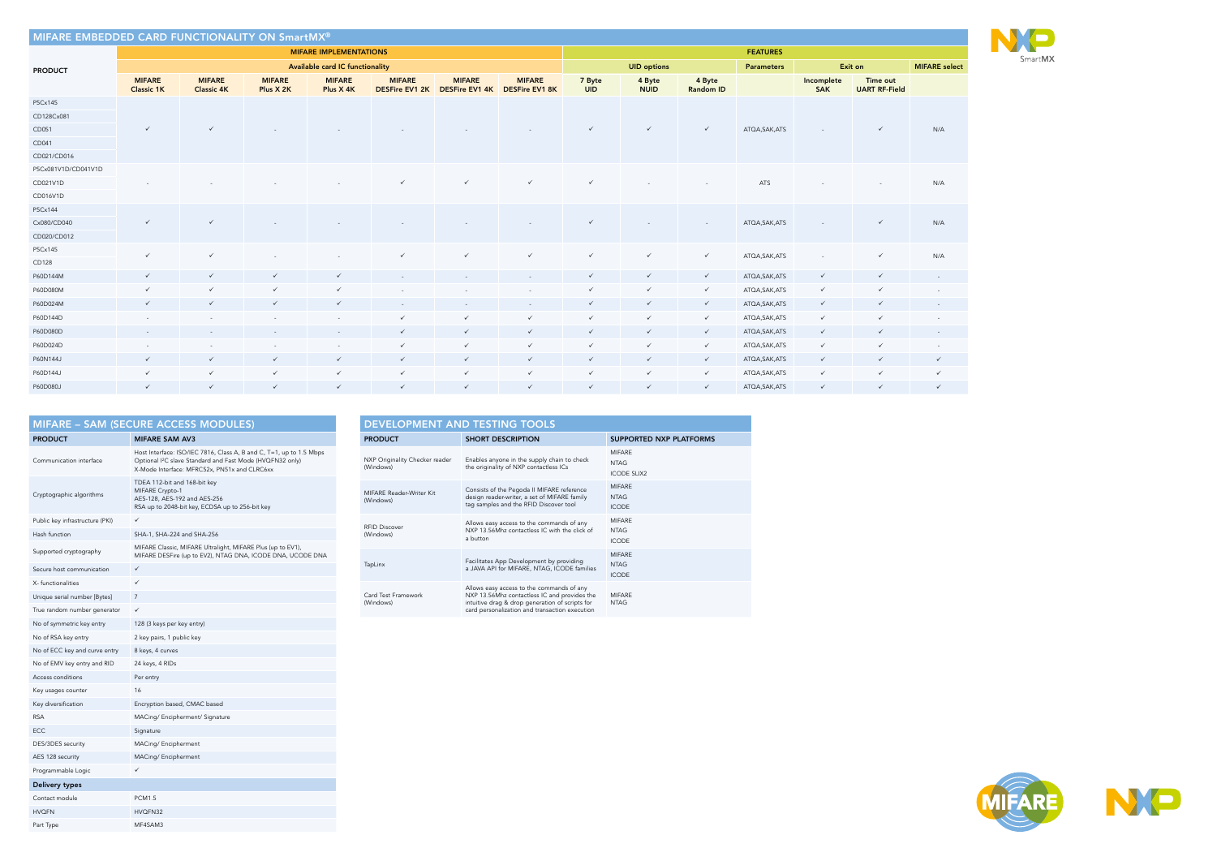|                                 | <b>MIFARE - SAM (SECURE ACCESS MODULES)</b>                                                                                                                                                  |
|---------------------------------|----------------------------------------------------------------------------------------------------------------------------------------------------------------------------------------------|
| <b>PRODUCT</b>                  | <b>MIFARE SAM AV3</b>                                                                                                                                                                        |
| Communication interface         | Host Interface: ISO/IEC 7816, Class A, B and C, T=1, up to 1.5 Mbps<br>Optional I <sup>2</sup> C slave Standard and Fast Mode (HVQFN32 only)<br>X-Mode Interface: MFRC52x, PN51x and CLRC6xx |
| Cryptographic algorithms        | TDEA 112-bit and 168-bit key<br>MIFARE Crypto-1<br>AES-128, AES-192 and AES-256<br>RSA up to 2048-bit key, ECDSA up to 256-bit key                                                           |
| Public key infrastructure (PKI) | ✓                                                                                                                                                                                            |
| Hash function                   | SHA-1, SHA-224 and SHA-256                                                                                                                                                                   |
| Supported cryptography          | MIFARE Classic, MIFARE Ultralight, MIFARE Plus (up to EV1),<br>MIFARE DESFire (up to EV2), NTAG DNA, ICODE DNA, UCODE DNA                                                                    |
| Secure host communication       | $\checkmark$                                                                                                                                                                                 |
| X-functionalities               | ✓                                                                                                                                                                                            |
| Unique serial number [Bytes]    | $\overline{7}$                                                                                                                                                                               |
| True random number generator    | ✓                                                                                                                                                                                            |
| No of symmetric key entry       | 128 (3 keys per key entry)                                                                                                                                                                   |
| No of RSA key entry             | 2 key pairs, 1 public key                                                                                                                                                                    |
| No of ECC key and curve entry   | 8 keys, 4 curves                                                                                                                                                                             |
| No of EMV key entry and RID     | 24 keys, 4 RIDs                                                                                                                                                                              |
| Access conditions               | Per entry                                                                                                                                                                                    |
| Key usages counter              | 16                                                                                                                                                                                           |
| Key diversification             | Encryption based, CMAC based                                                                                                                                                                 |
| <b>RSA</b>                      | MACing/ Encipherment/ Signature                                                                                                                                                              |
| ECC                             | Signature                                                                                                                                                                                    |
| DES/3DES security               | MACing/ Encipherment                                                                                                                                                                         |
| AES 128 security                | MACing/ Encipherment                                                                                                                                                                         |
| Programmable Logic              | ✓                                                                                                                                                                                            |
| Delivery types                  |                                                                                                                                                                                              |
| Contact module                  | <b>PCM1.5</b>                                                                                                                                                                                |
| <b>HVQFN</b>                    | HVQFN32                                                                                                                                                                                      |
| Part Type                       | MF4SAM3                                                                                                                                                                                      |

## DEVELOPMENT AND TESTING TOOLS PRODUCT SHORT DESCRIPTION SUPPORTED NXP PLATFORMS NXP Originality Checker reader (Windows) Enables anyone in the supply chain to check the originality of NXP contactless ICs MIFARE NTAG ICODE SLIX2 MIFARE Reader-Writer Kit (Windows) Consists of the Pegoda II MIFARE reference design reader-writer, a set of MIFARE family tag samples and the RFID Discover tool MIFARE NTAG ICODE RFID Discover (Windows) Allows easy access to the commands of any NXP 13.56Mhz contactless IC with the click of a button MIFARE NTAG ICODE TapLinx Facilitates App Development by providing a JAVA API for MIFARE, NTAG, ICODE families MIFARE NTAG ICODE Card Test Framework (Windows) Allows easy access to the commands of any<br>NXP 13.56Mhz contactless IC and provides the<br>intuitive drag & drop generation of scripts for<br>card personalization and transaction execution MIFARE NTAG

| <b>IIFARE</b> select |
|----------------------|
|                      |
|                      |
| N/A                  |
| N/A                  |
| N/A                  |
| N/A                  |
|                      |
|                      |
|                      |
|                      |
|                      |
|                      |
| ∕                    |
|                      |

SmartMX





| MIFARE EMBEDDED CARD FUNCTIONALITY ON SmartMX® |                                    |                                    |                            |                               |                                 |                                 |                                 |                      |                       |                     |                   |                          |                                  |                          |
|------------------------------------------------|------------------------------------|------------------------------------|----------------------------|-------------------------------|---------------------------------|---------------------------------|---------------------------------|----------------------|-----------------------|---------------------|-------------------|--------------------------|----------------------------------|--------------------------|
|                                                |                                    |                                    |                            | <b>MIFARE IMPLEMENTATIONS</b> |                                 |                                 |                                 |                      |                       |                     | <b>FEATURES</b>   |                          |                                  |                          |
| <b>PRODUCT</b>                                 | Available card IC functionality    |                                    |                            |                               |                                 |                                 |                                 |                      | <b>UID options</b>    |                     | <b>Parameters</b> |                          | Exit on                          | <b>MIFARE</b> select     |
|                                                | <b>MIFARE</b><br><b>Classic 1K</b> | <b>MIFARE</b><br><b>Classic 4K</b> | <b>MIFARE</b><br>Plus X 2K | <b>MIFARE</b><br>Plus X 4K    | <b>MIFARE</b><br>DESFire EV1 2K | <b>MIFARE</b><br>DESFire EV1 4K | <b>MIFARE</b><br>DESFire EV1 8K | 7 Byte<br><b>UID</b> | 4 Byte<br><b>NUID</b> | 4 Byte<br>Random ID |                   | Incomplete<br><b>SAK</b> | Time out<br><b>UART RF-Field</b> |                          |
| P5Cx145                                        |                                    |                                    |                            |                               |                                 |                                 |                                 |                      |                       |                     |                   |                          |                                  |                          |
| CD128Cx081                                     |                                    |                                    |                            |                               |                                 |                                 |                                 |                      |                       |                     |                   |                          |                                  |                          |
| CD051                                          | $\checkmark$                       | $\checkmark$                       |                            |                               |                                 |                                 |                                 | $\checkmark$         | $\checkmark$          | $\checkmark$        | ATQA, SAK, ATS    |                          | $\checkmark$                     | N/A                      |
| CD041                                          |                                    |                                    |                            |                               |                                 |                                 |                                 |                      |                       |                     |                   |                          |                                  |                          |
| CD021/CD016                                    |                                    |                                    |                            |                               |                                 |                                 |                                 |                      |                       |                     |                   |                          |                                  |                          |
| P5Cx081V1D/CD041V1D                            |                                    |                                    |                            |                               |                                 |                                 |                                 |                      |                       |                     |                   |                          |                                  |                          |
| CD021V1D                                       |                                    |                                    |                            |                               |                                 | $\checkmark$                    | $\checkmark$                    | $\checkmark$         |                       |                     | ATS               |                          |                                  | N/A                      |
| CD016V1D                                       |                                    |                                    |                            |                               |                                 |                                 |                                 |                      |                       |                     |                   |                          |                                  |                          |
| P5Cx144                                        |                                    |                                    |                            |                               |                                 |                                 |                                 |                      |                       |                     |                   |                          |                                  |                          |
| Cx080/CD040                                    | $\checkmark$                       | $\checkmark$                       |                            |                               |                                 |                                 |                                 | $\checkmark$         |                       |                     | ATQA, SAK, ATS    |                          | $\checkmark$                     | N/A                      |
| CD020/CD012                                    |                                    |                                    |                            |                               |                                 |                                 |                                 |                      |                       |                     |                   |                          |                                  |                          |
| P5Cx145                                        | $\checkmark$                       | $\checkmark$                       |                            |                               | $\checkmark$                    | $\checkmark$                    | $\checkmark$                    | $\checkmark$         | $\checkmark$          | $\checkmark$        | ATQA, SAK, ATS    |                          | $\checkmark$                     | N/A                      |
| CD128                                          |                                    |                                    |                            |                               |                                 |                                 |                                 |                      |                       |                     |                   |                          |                                  |                          |
| P60D144M                                       | $\checkmark$                       | $\checkmark$                       | $\checkmark$               | $\checkmark$                  |                                 |                                 |                                 | $\checkmark$         | $\checkmark$          | $\checkmark$        | ATQA, SAK, ATS    | $\checkmark$             | $\checkmark$                     |                          |
| P60D080M                                       | $\checkmark$                       | $\checkmark$                       | $\checkmark$               | $\checkmark$                  |                                 |                                 | $\sim$                          | $\checkmark$         | $\checkmark$          | $\checkmark$        | ATQA, SAK, ATS    | $\checkmark$             | $\checkmark$                     | $\sim$                   |
| P60D024M                                       | $\checkmark$                       | $\checkmark$                       | $\checkmark$               | $\checkmark$                  | $\sim$                          | $\sim$                          | $\sim$                          | $\checkmark$         | $\checkmark$          | $\checkmark$        | ATQA, SAK, ATS    | $\checkmark$             | $\checkmark$                     | $\sim$                   |
| P60D144D                                       |                                    |                                    |                            |                               | ✓                               | $\checkmark$                    | $\checkmark$                    | $\checkmark$         | $\checkmark$          | $\checkmark$        | ATQA, SAK, ATS    | $\checkmark$             | $\checkmark$                     |                          |
| P60D080D                                       | $\sim$                             |                                    |                            |                               | $\checkmark$                    | $\checkmark$                    | $\checkmark$                    | $\checkmark$         | $\checkmark$          | $\checkmark$        | ATQA, SAK, ATS    | $\checkmark$             | $\checkmark$                     | $\sim$                   |
| P60D024D                                       | $\overline{\phantom{a}}$           |                                    |                            |                               | ✓                               | $\checkmark$                    | $\checkmark$                    | $\checkmark$         | $\checkmark$          | $\checkmark$        | ATQA, SAK, ATS    | $\checkmark$             | $\checkmark$                     | $\overline{\phantom{a}}$ |
| P60N144J                                       | $\checkmark$                       | $\checkmark$                       | $\checkmark$               | $\checkmark$                  | $\checkmark$                    | $\checkmark$                    | $\checkmark$                    | $\checkmark$         | $\checkmark$          | $\checkmark$        | ATQA, SAK, ATS    | $\checkmark$             | $\checkmark$                     | $\checkmark$             |
| P60D144J                                       | $\checkmark$                       | $\checkmark$                       | $\checkmark$               | $\checkmark$                  | $\checkmark$                    | $\checkmark$                    | $\checkmark$                    | $\checkmark$         | $\checkmark$          | $\checkmark$        | ATQA, SAK, ATS    | $\checkmark$             | $\checkmark$                     | $\checkmark$             |
| P60D080J                                       | $\checkmark$                       | $\checkmark$                       | $\checkmark$               | $\checkmark$                  | $\checkmark$                    | $\checkmark$                    | $\checkmark$                    | $\checkmark$         | $\checkmark$          | $\checkmark$        | ATQA, SAK, ATS    | $\checkmark$             | $\checkmark$                     | $\checkmark$             |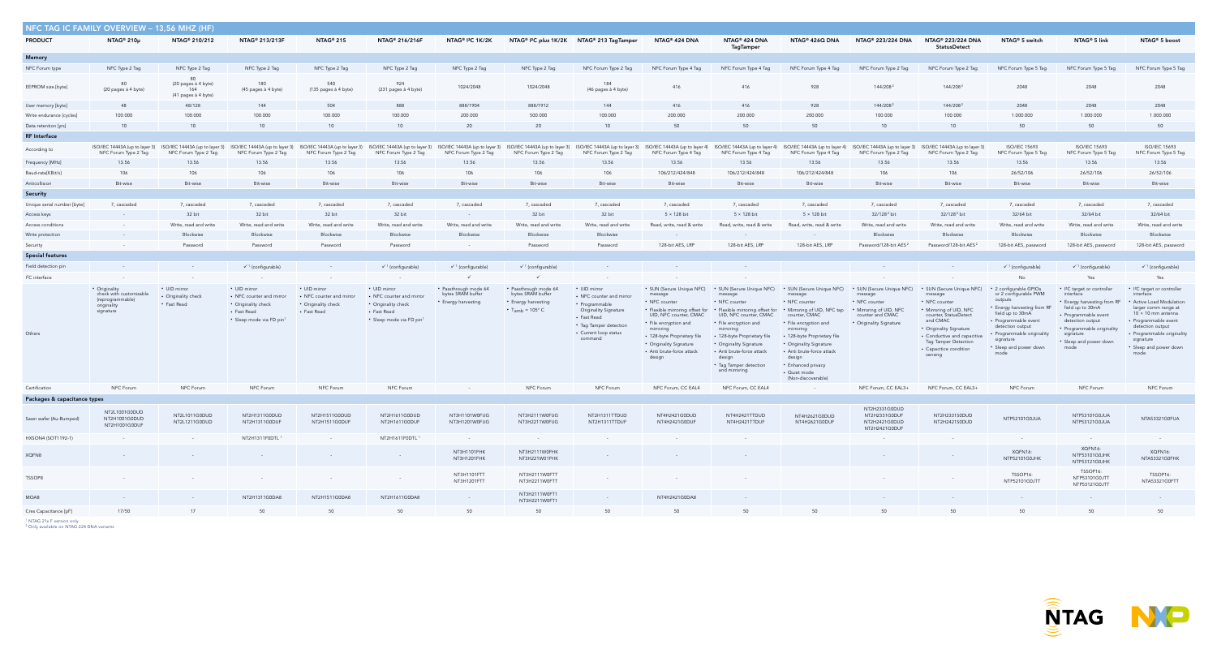| NFC TAG IC FAMILY OVERVIEW - 13,56 MHZ (HF) |                                                                                          |                                                         |                                                                                                            |                                                                                |                                                                                                            |                                                                   |                                                                                                        |                                                                                                                                                                         |                                                                                                                                                                                           |                                                                                                                                                                                                                                                                                                                                                                |                                                                                                                                                                                                                                                                                                                                    |                                                                                                    |                                                                                                                                                                                                                                              |                                                                                                                                                                                                                                |                                                                                                                                                                                                                                  |                                                                                                                                                                                                                                                                |
|---------------------------------------------|------------------------------------------------------------------------------------------|---------------------------------------------------------|------------------------------------------------------------------------------------------------------------|--------------------------------------------------------------------------------|------------------------------------------------------------------------------------------------------------|-------------------------------------------------------------------|--------------------------------------------------------------------------------------------------------|-------------------------------------------------------------------------------------------------------------------------------------------------------------------------|-------------------------------------------------------------------------------------------------------------------------------------------------------------------------------------------|----------------------------------------------------------------------------------------------------------------------------------------------------------------------------------------------------------------------------------------------------------------------------------------------------------------------------------------------------------------|------------------------------------------------------------------------------------------------------------------------------------------------------------------------------------------------------------------------------------------------------------------------------------------------------------------------------------|----------------------------------------------------------------------------------------------------|----------------------------------------------------------------------------------------------------------------------------------------------------------------------------------------------------------------------------------------------|--------------------------------------------------------------------------------------------------------------------------------------------------------------------------------------------------------------------------------|----------------------------------------------------------------------------------------------------------------------------------------------------------------------------------------------------------------------------------|----------------------------------------------------------------------------------------------------------------------------------------------------------------------------------------------------------------------------------------------------------------|
| <b>PRODUCT</b>                              | NTAG <sup>®</sup> 210µ                                                                   | NTAG <sup>®</sup> 210/212                               | NTAG <sup>®</sup> 213/213F                                                                                 | NTAG <sup>®</sup> 215                                                          | NTAG® 216/216F                                                                                             | NTAG® I <sup>2</sup> C 1K/2K                                      |                                                                                                        | NTAG® I <sup>2</sup> C plus 1K/2K NTAG® 213 TagTamper                                                                                                                   | NTAG <sup>®</sup> 424 DNA                                                                                                                                                                 | NTAG® 424 DNA<br><b>TagTamper</b>                                                                                                                                                                                                                                                                                                                              | NTAG <sup>®</sup> 426Q DNA                                                                                                                                                                                                                                                                                                         | NTAG® 223/224 DNA                                                                                  | NTAG® 223/224 DNA<br><b>StatusDetect</b>                                                                                                                                                                                                     | NTAG <sup>®</sup> 5 switch                                                                                                                                                                                                     | NTAG <sup>®</sup> 5 link                                                                                                                                                                                                         | NTAG® 5 boost                                                                                                                                                                                                                                                  |
| Memory                                      |                                                                                          |                                                         |                                                                                                            |                                                                                |                                                                                                            |                                                                   |                                                                                                        |                                                                                                                                                                         |                                                                                                                                                                                           |                                                                                                                                                                                                                                                                                                                                                                |                                                                                                                                                                                                                                                                                                                                    |                                                                                                    |                                                                                                                                                                                                                                              |                                                                                                                                                                                                                                |                                                                                                                                                                                                                                  |                                                                                                                                                                                                                                                                |
| NFC Forum type                              | NFC Type 2 Tag                                                                           | NFC Type 2 Tag                                          | NFC Type 2 Tag                                                                                             | NFC Type 2 Tag                                                                 | NFC Type 2 Tag                                                                                             | NFC Type 2 Tag                                                    | NFC Type 2 Tag                                                                                         | NFC Forum Type 2 Tag                                                                                                                                                    | NFC Forum Type 4 Tag                                                                                                                                                                      | NFC Forum Type 4 Tag                                                                                                                                                                                                                                                                                                                                           | NFC Forum Type 4 Tag                                                                                                                                                                                                                                                                                                               | NFC Forum Type 2 Tag                                                                               | NFC Forum Type 2 Tag                                                                                                                                                                                                                         | NFC Forum Type 5 Tag                                                                                                                                                                                                           | NFC Forum Type 5 Tag                                                                                                                                                                                                             | NFC Forum Type 5 Tag                                                                                                                                                                                                                                           |
| EEPROM size [byte]                          | 80<br>(20 pages à 4 byte)                                                                | 80<br>(20 pages à 4 byte)<br>164<br>(41 pages à 4 byte) | 180<br>(45 pages à 4 byte)                                                                                 | 540<br>(135 pages à 4 byte)                                                    | 924<br>(231 pages à 4 byte)                                                                                | 1024/2048                                                         | 1024/2048                                                                                              | 184<br>(46 pages à 4 byte)                                                                                                                                              | 416                                                                                                                                                                                       | 416                                                                                                                                                                                                                                                                                                                                                            | 928                                                                                                                                                                                                                                                                                                                                | 144/208 <sup>2</sup>                                                                               | 144/208 <sup>2</sup>                                                                                                                                                                                                                         | 2048                                                                                                                                                                                                                           | 2048                                                                                                                                                                                                                             | 2048                                                                                                                                                                                                                                                           |
| User memory [byte]                          | 48                                                                                       | 48/128                                                  | 144                                                                                                        | 504                                                                            | 888                                                                                                        | 888/1904                                                          | 888/1912                                                                                               | 144                                                                                                                                                                     | 416                                                                                                                                                                                       | 416                                                                                                                                                                                                                                                                                                                                                            | 928                                                                                                                                                                                                                                                                                                                                | 144/208 <sup>2</sup>                                                                               | 144/208 <sup>2</sup>                                                                                                                                                                                                                         | 2048                                                                                                                                                                                                                           | 2048                                                                                                                                                                                                                             | 2048                                                                                                                                                                                                                                                           |
| Write endurance [cycles]                    | 100.000                                                                                  | 100.000                                                 | 100.000                                                                                                    | 100.000                                                                        | 100.000                                                                                                    | 200.000                                                           | 500.000                                                                                                | 100.000                                                                                                                                                                 | 200.000                                                                                                                                                                                   | 200.000                                                                                                                                                                                                                                                                                                                                                        | 200.000                                                                                                                                                                                                                                                                                                                            | 100.000                                                                                            | 100.000                                                                                                                                                                                                                                      | 1.000.000                                                                                                                                                                                                                      | 1.000.000                                                                                                                                                                                                                        | 1.000.000                                                                                                                                                                                                                                                      |
| Data retention [yrs]                        | 10                                                                                       | 10                                                      | 10                                                                                                         | 10                                                                             | 10                                                                                                         | 20                                                                | 20                                                                                                     | 10 <sup>1</sup>                                                                                                                                                         | 50                                                                                                                                                                                        | 50                                                                                                                                                                                                                                                                                                                                                             | 50                                                                                                                                                                                                                                                                                                                                 | 10                                                                                                 | 10                                                                                                                                                                                                                                           | 50                                                                                                                                                                                                                             | 50                                                                                                                                                                                                                               | 50                                                                                                                                                                                                                                                             |
| <b>RF</b> Interface                         |                                                                                          |                                                         |                                                                                                            |                                                                                |                                                                                                            |                                                                   |                                                                                                        |                                                                                                                                                                         |                                                                                                                                                                                           |                                                                                                                                                                                                                                                                                                                                                                |                                                                                                                                                                                                                                                                                                                                    |                                                                                                    |                                                                                                                                                                                                                                              |                                                                                                                                                                                                                                |                                                                                                                                                                                                                                  |                                                                                                                                                                                                                                                                |
| According to                                | NFC Forum Type 2 Tag                                                                     | NFC Forum Type 2 Tag                                    | NFC Forum Type 2 Tag                                                                                       | NFC Forum Type 2 Tag                                                           | NFC Forum Type 2 Tag                                                                                       | NFC Forum Type 2 Tag                                              | NFC Forum Type 2 Tag                                                                                   | NFC Forum Type 2 Tag                                                                                                                                                    | NFC Forum Type 4 Tag                                                                                                                                                                      | ISO/IEC 14443A (up to layer 3) ISO/IEC 14443A (up to layer 3) ISO/IEC 14443A (up to layer 3) ISO/IEC 14443A (up to layer 3) ISO/IEC 14443A (up to layer 3) ISO/IEC 14443A (up to layer 3) ISO/IEC 14443A (up to layer 3) ISO/I<br>NFC Forum Type 4 Tag                                                                                                         | NFC Forum Type 4 Tag                                                                                                                                                                                                                                                                                                               | NFC Forum Type 2 Tag                                                                               | NFC Forum Type 2 Tag                                                                                                                                                                                                                         | <b>ISO/IEC 15693</b><br>NFC Forum Type 5 Tag                                                                                                                                                                                   | <b>ISO/IEC 15693</b><br>NFC Forum Type 5 Tag                                                                                                                                                                                     | <b>ISO/IEC 15693</b><br>NFC Forum Type 5 Tag                                                                                                                                                                                                                   |
| Frequency [MHz]                             | 13.56                                                                                    | 13.56                                                   | 13.56                                                                                                      | 13.56                                                                          | 13.56                                                                                                      | 13.56                                                             | 13.56                                                                                                  | 13.56                                                                                                                                                                   | 13.56                                                                                                                                                                                     | 13.56                                                                                                                                                                                                                                                                                                                                                          | 13.56                                                                                                                                                                                                                                                                                                                              | 13.56                                                                                              | 13.56                                                                                                                                                                                                                                        | 13.56                                                                                                                                                                                                                          | 13.56                                                                                                                                                                                                                            | 13.56                                                                                                                                                                                                                                                          |
| Baud-rate[KBit/s]                           | 106                                                                                      | 106                                                     | 106                                                                                                        | 106                                                                            | 106                                                                                                        | 106                                                               | 106                                                                                                    | 106                                                                                                                                                                     | 106/212/424/848                                                                                                                                                                           | 106/212/424/848                                                                                                                                                                                                                                                                                                                                                | 106/212/424/848                                                                                                                                                                                                                                                                                                                    | 106                                                                                                | 106                                                                                                                                                                                                                                          | 26/52/106                                                                                                                                                                                                                      | 26/52/106                                                                                                                                                                                                                        | 26/52/106                                                                                                                                                                                                                                                      |
| Anticollision                               | <b>Bit-wise</b>                                                                          | Bit-wise                                                | Bit-wise                                                                                                   | <b>Bit-wise</b>                                                                | Bit-wise                                                                                                   | <b>Bit-wise</b>                                                   | Bit-wise                                                                                               | Bit-wise                                                                                                                                                                | Bit-wise                                                                                                                                                                                  | Bit-wise                                                                                                                                                                                                                                                                                                                                                       | Bit-wise                                                                                                                                                                                                                                                                                                                           | Bit-wise                                                                                           | Bit-wise                                                                                                                                                                                                                                     | Bit-wise                                                                                                                                                                                                                       | Bit-wise                                                                                                                                                                                                                         | Bit-wise                                                                                                                                                                                                                                                       |
| Security                                    |                                                                                          |                                                         |                                                                                                            |                                                                                |                                                                                                            |                                                                   |                                                                                                        |                                                                                                                                                                         |                                                                                                                                                                                           |                                                                                                                                                                                                                                                                                                                                                                |                                                                                                                                                                                                                                                                                                                                    |                                                                                                    |                                                                                                                                                                                                                                              |                                                                                                                                                                                                                                |                                                                                                                                                                                                                                  |                                                                                                                                                                                                                                                                |
| Unique serial number [byte]                 | 7, cascaded                                                                              | 7, cascaded                                             | 7, cascaded                                                                                                | 7, cascaded                                                                    | 7, cascaded                                                                                                | 7, cascaded                                                       | 7, cascaded                                                                                            | 7, cascaded                                                                                                                                                             | 7, cascaded                                                                                                                                                                               | 7, cascaded                                                                                                                                                                                                                                                                                                                                                    | 7, cascaded                                                                                                                                                                                                                                                                                                                        | 7, cascaded                                                                                        | 7, cascaded                                                                                                                                                                                                                                  | 7, cascaded                                                                                                                                                                                                                    | 7, cascaded                                                                                                                                                                                                                      | 7, cascaded                                                                                                                                                                                                                                                    |
| Access keys                                 | $\sim 10^{-11}$                                                                          | 32 bit                                                  | 32 bit                                                                                                     | 32 bit                                                                         | 32 bit                                                                                                     | $\sim$ $-$                                                        | 32 bit                                                                                                 | 32 bit                                                                                                                                                                  | 5 × 128 bit                                                                                                                                                                               | $5 \times 128$ bit                                                                                                                                                                                                                                                                                                                                             | $5 \times 128$ bit                                                                                                                                                                                                                                                                                                                 | 32/128 <sup>2</sup> bit                                                                            | 32/128 <sup>2</sup> bit                                                                                                                                                                                                                      | 32/64 bit                                                                                                                                                                                                                      | 32/64 bit                                                                                                                                                                                                                        | 32/64 bit                                                                                                                                                                                                                                                      |
| Access conditions                           |                                                                                          | Write, read and write                                   | Write, read and write                                                                                      | Write, read and write                                                          | Write, read and write                                                                                      | Write, read and write                                             | Write, read and write                                                                                  | Write, read and write                                                                                                                                                   | Read, write, read & write                                                                                                                                                                 | Read, write, read & write                                                                                                                                                                                                                                                                                                                                      | Read, write, read & write                                                                                                                                                                                                                                                                                                          | Write, read and write                                                                              | Write, read and write                                                                                                                                                                                                                        | Write, read and write                                                                                                                                                                                                          | Write, read and write                                                                                                                                                                                                            | Write, read and write                                                                                                                                                                                                                                          |
| Write protection                            | $\sim$                                                                                   | Blockwise                                               | Blockwise                                                                                                  | Blockwise                                                                      | Blockwise                                                                                                  | Blockwise                                                         | Blockwise                                                                                              | Blockwise                                                                                                                                                               | $\sim$                                                                                                                                                                                    |                                                                                                                                                                                                                                                                                                                                                                | $\sim 10^{-11}$                                                                                                                                                                                                                                                                                                                    | Blockwise                                                                                          | Blockwise                                                                                                                                                                                                                                    | Blockwise                                                                                                                                                                                                                      | Blockwise                                                                                                                                                                                                                        | Blockwise                                                                                                                                                                                                                                                      |
| Security                                    |                                                                                          | Password                                                | Password                                                                                                   | Password                                                                       | Password                                                                                                   | $\sim 10^{-11}$                                                   | Password                                                                                               | Password                                                                                                                                                                | 128-bit AES, LRP                                                                                                                                                                          | 128-bit AES, LRP                                                                                                                                                                                                                                                                                                                                               | 128-bit AES, LRP                                                                                                                                                                                                                                                                                                                   | Password/128-bit AES <sup>2</sup>                                                                  | Password/128-bit AES <sup>2</sup>                                                                                                                                                                                                            | 128-bit AES, password                                                                                                                                                                                                          | 128-bit AES, password                                                                                                                                                                                                            | 128-bit AES, password                                                                                                                                                                                                                                          |
| <b>Special features</b>                     |                                                                                          |                                                         |                                                                                                            |                                                                                |                                                                                                            |                                                                   |                                                                                                        |                                                                                                                                                                         |                                                                                                                                                                                           |                                                                                                                                                                                                                                                                                                                                                                |                                                                                                                                                                                                                                                                                                                                    |                                                                                                    |                                                                                                                                                                                                                                              |                                                                                                                                                                                                                                |                                                                                                                                                                                                                                  |                                                                                                                                                                                                                                                                |
| Field detection pin                         | $\sim$ $-$                                                                               |                                                         | $\checkmark$ <sup>1</sup> (configurable)                                                                   |                                                                                | $\checkmark$ <sup>1</sup> (configurable)                                                                   | $\checkmark$ <sup>1</sup> (configurable)                          | $\checkmark$ <sup>1</sup> (configurable)                                                               |                                                                                                                                                                         | <b>Contract</b>                                                                                                                                                                           |                                                                                                                                                                                                                                                                                                                                                                |                                                                                                                                                                                                                                                                                                                                    | $\sim 10^{-11}$                                                                                    |                                                                                                                                                                                                                                              | $\checkmark$ <sup>1</sup> (configurable)                                                                                                                                                                                       | $\checkmark$ <sup>1</sup> (configurable)                                                                                                                                                                                         | $\checkmark$ <sup>1</sup> (configurable)                                                                                                                                                                                                                       |
| $I2C$ interface                             |                                                                                          |                                                         |                                                                                                            | $\sim$ 100 $\pm$                                                               | $\sim$                                                                                                     | $\checkmark$                                                      | $\checkmark$                                                                                           |                                                                                                                                                                         | $\sim$                                                                                                                                                                                    |                                                                                                                                                                                                                                                                                                                                                                |                                                                                                                                                                                                                                                                                                                                    |                                                                                                    |                                                                                                                                                                                                                                              | No                                                                                                                                                                                                                             | Yes                                                                                                                                                                                                                              | Yes                                                                                                                                                                                                                                                            |
| Others                                      | • Originality<br>check with customizable<br>(reprogrammable)<br>originality<br>signature | • UID mirror<br>• Originality check<br>• Fast Read      | • UID mirror<br>• NFC counter and mirror<br>• Originality check<br>• Fast Read<br>· Sleep mode via FD pin1 | • UID mirror<br>• NFC counter and mirror<br>• Originality check<br>• Fast Read | • UID mirror<br>• NFC counter and mirror<br>• Originality check<br>• Fast Read<br>· Sleep mode via FD pin1 | • Passthrough mode 64<br>bytes SRAM buffer<br>• Energy harvesting | · Passthrough mode 64<br>bytes SRAM buffer<br>• Energy harvesting<br>$\cdot$ T <sub>amb</sub> = 105° C | • UID mirror<br>• NFC counter and mirror<br>• Programmable<br><b>Originality Signature</b><br>• Fast Read<br>• Tag Tamper detection<br>• Current loop status<br>command | message<br>• NFC counter<br>UID, NFC counter, CMAC<br>• File encryption and<br>mirroring<br>• 128-byte Proprietary file<br>• Originality Signature<br>• Anti brute-force attack<br>design | • SUN (Secure Unique NFC) • SUN (Secure Unique NFC)<br>message<br>• NFC counter<br>• Flexible mirroring offset for • Flexible mirroring offset for<br>UID, NFC counter, CMAC<br>• File encryption and<br>mirroring<br>• 128-byte Proprietary file<br>• Originality Signature<br>• Anti brute-force attack<br>design<br>• Tag Tamper detection<br>and mirroring | • SUN (Secure Unique NFC) • SUN (Secure Unique NFC)<br>message<br>• NFC counter<br>• Mirroring of UID, NFC tap<br>counter, CMAC<br>• File encryption and<br>mirroring<br>• 128-byte Proprietary file<br>• Originality Signature<br>• Anti brute-force attack<br>design<br>• Enhanced privacy<br>· Quiet mode<br>(Non-discoverable) | message<br>• NFC counter<br>• Mirroring of UID, NFC<br>counter and CMAC<br>• Originality Signature | • SUN (Secure Unique NFC)<br>message<br>• NFC counter<br>• Mirroring of UID, NFC<br>counter, StatusDetect<br>and CMAC<br>• Originality Signature<br>• Conductive and capacitive<br>Tag Tamper Detection<br>• Capacitice condition<br>sensing | • 2 configurable GPIOs<br>or 2 configurable PWM<br>outputs<br>• Energy harvesting from RF<br>field up to 30mA<br>• Programmable event<br>detection output<br>• Programmable originality<br>signature<br>• Sleep and power down | • I <sup>2</sup> C target or controller<br>interface<br>• Energy harvesting from RF<br>field up to 30mA<br>• Programmable event<br>detection output<br>• Programmable originality<br>signature<br>• Sleep and power down<br>mode | • I <sup>2</sup> C target or controller<br>interface<br>• Active Load Modulation<br>larger comm range at<br>$10 \times 10$ mm antenna<br>• Programmable event<br>detection output<br>• Programmable originality<br>signature<br>• Sleep and power down<br>mode |
| Certification                               | NFC Forum                                                                                | NFC Forum                                               | NFC Forum                                                                                                  | NFC Forum                                                                      | NFC Forum                                                                                                  | $\sim$ $-$                                                        | NFC Forum                                                                                              | NFC Forum                                                                                                                                                               | NFC Forum, CC EAL4                                                                                                                                                                        | NFC Forum, CC EAL4                                                                                                                                                                                                                                                                                                                                             | $\sim$                                                                                                                                                                                                                                                                                                                             | NFC Forum, CC EAL3+                                                                                | NFC Forum, CC EAL3+                                                                                                                                                                                                                          | NFC Forum                                                                                                                                                                                                                      | NFC Forum                                                                                                                                                                                                                        | NFC Forum                                                                                                                                                                                                                                                      |
| Packages & capacitance types                |                                                                                          |                                                         |                                                                                                            |                                                                                |                                                                                                            |                                                                   |                                                                                                        |                                                                                                                                                                         |                                                                                                                                                                                           |                                                                                                                                                                                                                                                                                                                                                                |                                                                                                                                                                                                                                                                                                                                    |                                                                                                    |                                                                                                                                                                                                                                              |                                                                                                                                                                                                                                |                                                                                                                                                                                                                                  |                                                                                                                                                                                                                                                                |
| Sawn wafer (Au-Bumped)                      | NT2L1001G0DUD<br>NT2H1001G0DUD<br>NT2H1001G0DUF                                          | NT2L1011G0DUD<br>NT2L1211G0DUD                          | NT2H1311G0DUD<br>NT2H1311G0DUF                                                                             | NT2H1511G0DUD<br>NT2H1511G0DUF                                                 | NT2H1611G0DUD<br>NT2H1611G0DUF                                                                             | NT3H1101W0FUG<br>NT3H1201W0FUG                                    | NT3H2111W0FUG<br>NT3H2211W0FUG                                                                         | NT2H1311TTDUD<br>NT2H1311TTDUF                                                                                                                                          | NT4H2421G0DUD<br>NT4H2421G0DUF                                                                                                                                                            | NT4H2421TTDUD<br>NT4H2421TTDUF                                                                                                                                                                                                                                                                                                                                 | NT4H2621G0DUD<br>NT4H2621G0DUF                                                                                                                                                                                                                                                                                                     | NT2H2331G0DUD<br>NT2H2331G0DUF<br>NT2H2421G0DUD<br>NT2H2421G0DUF                                   | NT2H2331S0DUD<br>NT2H2421S0DUD                                                                                                                                                                                                               | NTP52101G0JUA                                                                                                                                                                                                                  | NTP53101G0JUA<br>NTP53121G0JUA                                                                                                                                                                                                   | NTA53321G0FUA                                                                                                                                                                                                                                                  |
| HXSON4 (SOT1192-1)                          | $\sim 10^{-11}$                                                                          | $\sim$ $-$                                              | NT2H1311F0DTL                                                                                              | $\sim$ $-$                                                                     | NT2H1611F0DTL <sup>1</sup>                                                                                 | <b>Contract</b>                                                   | <b>Contract Contract</b>                                                                               |                                                                                                                                                                         | $\sim$                                                                                                                                                                                    |                                                                                                                                                                                                                                                                                                                                                                |                                                                                                                                                                                                                                                                                                                                    | <b>Contract</b>                                                                                    |                                                                                                                                                                                                                                              | $\sim 100$                                                                                                                                                                                                                     | $\sim 100$ m $^{-1}$                                                                                                                                                                                                             | $\sim$ 100 $\pm$                                                                                                                                                                                                                                               |
| XQFN8                                       | $\sim$ $-$                                                                               | <b>Contract</b>                                         | <b>Contract</b>                                                                                            | $\sim$ 100 $\pm$                                                               | <b>Contract</b>                                                                                            | NT3H1101FHK<br>NT3H1201FHK                                        | NT3H2111W0FHK<br>NT3H221W01FHK                                                                         |                                                                                                                                                                         | $\sim$ $-$                                                                                                                                                                                | $\sim 100$                                                                                                                                                                                                                                                                                                                                                     |                                                                                                                                                                                                                                                                                                                                    | $\sim$ 100 $\pm$                                                                                   | <b>Contract</b>                                                                                                                                                                                                                              | XQFN16:<br>NTP52101G0JHK                                                                                                                                                                                                       | XQFN16:<br>NTP53101G0JHK<br>NTP53121G0JHK                                                                                                                                                                                        | XQFN16:<br>NTA53321G0FHK                                                                                                                                                                                                                                       |
| TSSOP8                                      |                                                                                          |                                                         |                                                                                                            |                                                                                | $\sim$ $-$                                                                                                 | NT3H1101FTT<br>NT3H1201FTT                                        | NT3H2111W0FTT<br>NT3H2211W0FTT                                                                         |                                                                                                                                                                         |                                                                                                                                                                                           |                                                                                                                                                                                                                                                                                                                                                                |                                                                                                                                                                                                                                                                                                                                    |                                                                                                    |                                                                                                                                                                                                                                              | TSSOP16:<br>NTP52101G0JTT                                                                                                                                                                                                      | TSSOP16:<br>NTP53101G0JTT<br>NTP53121G0JTT                                                                                                                                                                                       | TSSOP16:<br>NTA53321G0FTT                                                                                                                                                                                                                                      |
| MOA8                                        | $\sim 10^{-11}$                                                                          | <b>Contract</b>                                         | NT2H1311G0DA8                                                                                              | NT2H1511G0DA8                                                                  | NT2H1611G0DA8                                                                                              | $\sim 10^{-11}$                                                   | NT3H2111W0FT1<br>NT3H2211W0FT1                                                                         | $\sim$ $-$                                                                                                                                                              | NT4H2421G0DA8                                                                                                                                                                             | $\sim$ $-$                                                                                                                                                                                                                                                                                                                                                     |                                                                                                                                                                                                                                                                                                                                    | $\sim 100$                                                                                         |                                                                                                                                                                                                                                              | <b>Contract Contract</b>                                                                                                                                                                                                       | $\sim$ $-$                                                                                                                                                                                                                       | <b>Contract</b>                                                                                                                                                                                                                                                |
| Cres Capacitance [pF]                       | 17/50                                                                                    | 17                                                      | 50                                                                                                         | 50                                                                             | 50                                                                                                         | 50                                                                | 50                                                                                                     | 50                                                                                                                                                                      | 50                                                                                                                                                                                        | 50                                                                                                                                                                                                                                                                                                                                                             | 50                                                                                                                                                                                                                                                                                                                                 | 50                                                                                                 | 50                                                                                                                                                                                                                                           | 50                                                                                                                                                                                                                             | 50                                                                                                                                                                                                                               | 50                                                                                                                                                                                                                                                             |

<sup>1</sup> NTAG 21x F version only<br><sup>2</sup> Only available on NTAG 224 DNA variants